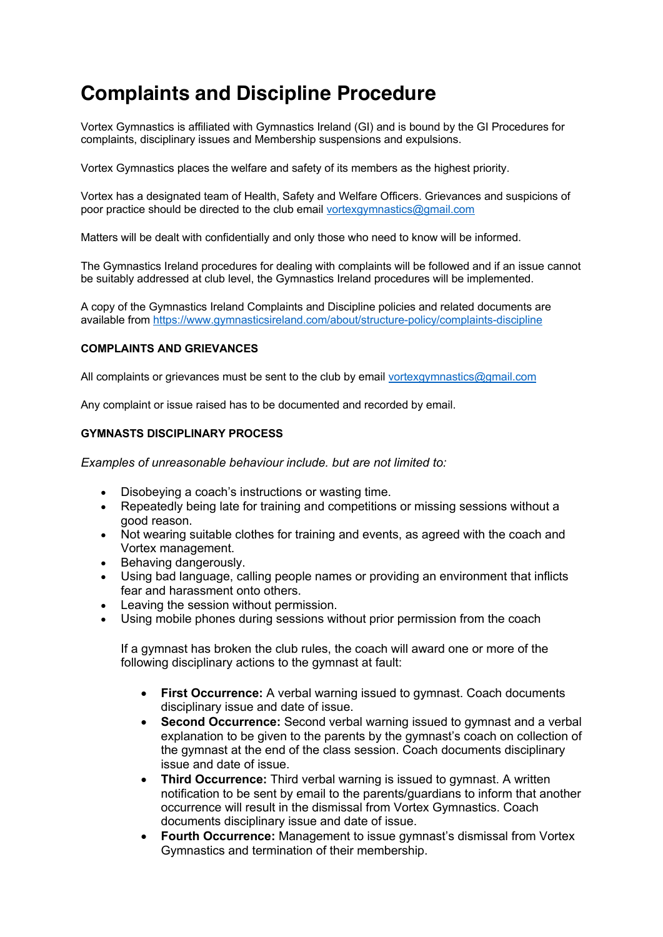## **Complaints and Discipline Procedure**

Vortex Gymnastics is affiliated with Gymnastics Ireland (GI) and is bound by the GI Procedures for complaints, disciplinary issues and Membership suspensions and expulsions.

Vortex Gymnastics places the welfare and safety of its members as the highest priority.

Vortex has a designated team of Health, Safety and Welfare Officers. Grievances and suspicions of poor practice should be directed to the club email vortexgymnastics@gmail.com

Matters will be dealt with confidentially and only those who need to know will be informed.

The Gymnastics Ireland procedures for dealing with complaints will be followed and if an issue cannot be suitably addressed at club level, the Gymnastics Ireland procedures will be implemented.

A copy of the Gymnastics Ireland Complaints and Discipline policies and related documents are available from https://www.gymnasticsireland.com/about/structure-policy/complaints-discipline

## **COMPLAINTS AND GRIEVANCES**

All complaints or grievances must be sent to the club by email vortexgymnastics@gmail.com

Any complaint or issue raised has to be documented and recorded by email.

## **GYMNASTS DISCIPLINARY PROCESS**

*Examples of unreasonable behaviour include. but are not limited to:*

- Disobeying a coach's instructions or wasting time.
- Repeatedly being late for training and competitions or missing sessions without a good reason.
- Not wearing suitable clothes for training and events, as agreed with the coach and Vortex management.
- Behaving dangerously.
- Using bad language, calling people names or providing an environment that inflicts fear and harassment onto others.
- Leaving the session without permission.
- Using mobile phones during sessions without prior permission from the coach

If a gymnast has broken the club rules, the coach will award one or more of the following disciplinary actions to the gymnast at fault:

- **First Occurrence:** A verbal warning issued to gymnast. Coach documents disciplinary issue and date of issue.
- **Second Occurrence:** Second verbal warning issued to gymnast and a verbal explanation to be given to the parents by the gymnast's coach on collection of the gymnast at the end of the class session. Coach documents disciplinary issue and date of issue.
- **Third Occurrence:** Third verbal warning is issued to gymnast. A written notification to be sent by email to the parents/guardians to inform that another occurrence will result in the dismissal from Vortex Gymnastics. Coach documents disciplinary issue and date of issue.
- **Fourth Occurrence:** Management to issue gymnast's dismissal from Vortex Gymnastics and termination of their membership.